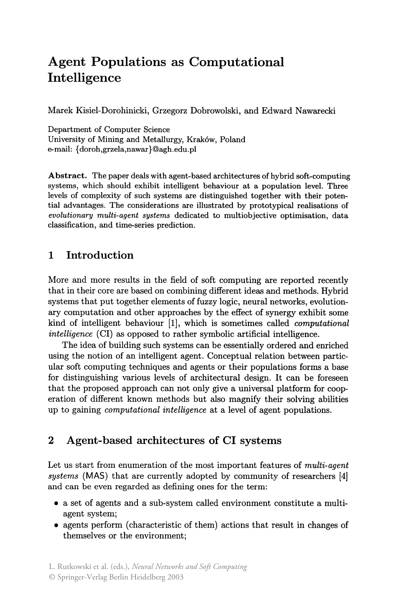# **Agent Populations as Computational Intelligence**

Marek Kisiel-Dorohinicki, Grzegorz Dobrowolski, and Edward Nawarecki

Department of Computer Science University of Mining and Metallurgy, Krak6w, Poland e-mail: {doroh.grzela.nawar}@agh.edu.pl

Abstract. The paper deals with agent-based architectures of hybrid soft-computing systems, which should exhibit intelligent behaviour at a population level. Three levels of complexity of such systems are distinguished together with their potential advantages. The considerations are illustrated by prototypical realisations of *evolutionary multi-agent systems* dedicated to multiobjective optimisation, data classification, and time-series prediction.

# **1 Introduction**

More and more results in the field of soft computing are reported recently that in their core are based on combining different ideas and methods. Hybrid systems that put together elements of fuzzy logic, neural networks, evolutionary computation and other approaches by the effect of synergy exhibit some kind of intelligent behaviour [1], which is sometimes called *computational intelligence* (CI) as opposed to rather symbolic artificial intelligence.

The idea of building such systems can be essentially ordered and enriched using the notion of an intelligent agent. Conceptual relation between particular soft computing techniques and agents or their populations forms a base for distinguishing various levels of architectural design. It can be foreseen that the proposed approach can not only give a universal platform for cooperation of different known methods but also magnify their solving abilities up to gaining *computational intelligence* at a level of agent populations.

# **2 Agent-based architectures of CI systems**

Let us start from enumeration of the most important features of *multi-agent systems* (MAS) that are currently adopted by community of researchers [4] and can be even regarded as defining ones for the term:

- a set of agents and a sub-system called environment constitute a multiagent system;
- agents perform (characteristic of them) actions that result in changes of themselves or the environment;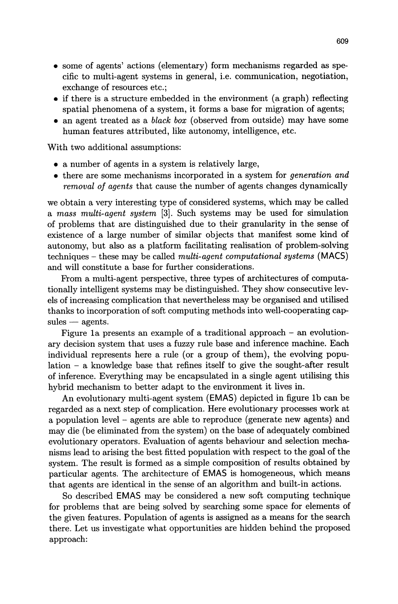- some of agents' actions (elementary) form mechanisms regarded as specific to multi-agent systems in general, i.e. communication, negotiation, exchange of resources etc.;
- if there is a structure embedded in the environment (a graph) reflecting spatial phenomena of a system, it forms a base for migration of agents;
- an agent treated as a *black box* (observed from outside) may have some human features attributed, like autonomy, intelligence, etc.

With two additional assumptions:

- a number of agents in a system is relatively large,
- there are some mechanisms incorporated in a system for *generation and removal of agents* that cause the number of agents changes dynamically

we obtain a very interesting type of considered systems, which may be called a *mass multi-agent system* [3]. Such systems may be used for simulation of problems that are distinguished due to their granularity in the sense of existence of a large number of similar objects that manifest some kind of autonomy, but also as a platform facilitating realisation of problem-solving techniques - these may be called *multi-agent computational systems* (MACS) and will constitute a base for further considerations.

From a multi-agent perspective, three types of architectures of computationally intelligent systems may be distinguished. They show consecutive levels of increasing complication that nevertheless may be organised and utilised thanks to incorporation of soft computing methods into well-cooperating cap $sules$  - agents.

Figure la presents an example of a traditional approach - an evolutionary decision system that uses a fuzzy rule base and inference machine. Each individual represents here a rule (or a group of them), the evolving population - a knowledge base that refines itself to give the sought-after result of inference. Everything may be encapsulated in a single agent utilising this hybrid mechanism to better adapt to the environment it lives in.

An evolutionary multi-agent system (EMAS) depicted in figure Ib can be regarded as a next step of complication. Here evolutionary processes work at a population level - agents are able to reproduce (generate new agents) and may die (be eliminated from the system) on the base of adequately combined evolutionary operators. Evaluation of agents behaviour and selection mechanisms lead to arising the best fitted population with respect to the goal of the system. The result is formed as a simple composition of results obtained by particular agents. The architecture of **EMAS** is homogeneous, which means that agents are identical in the sense of an algorithm and built-in actions.

So described **EMAS** may be considered a new soft computing technique for problems that are being solved by searching some space for elements of the given features. Population of agents is assigned as a means for the search there. Let us investigate what opportunities are hidden behind the proposed approach: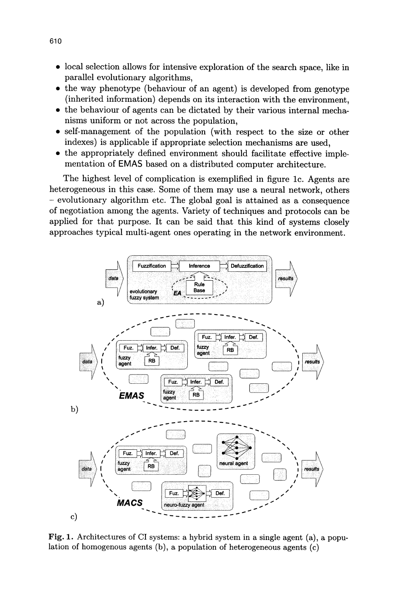- local selection allows for intensive exploration of the search space, like in parallel evolutionary algorithms,
- the way phenotype (behaviour of an agent) is developed from genotype (inherited information) depends on its interaction with the environment,
- the behaviour of agents can be dictated by their various internal mechanisms uniform or not across the population,
- self-management of the population (with respect to the size or other indexes) is applicable if appropriate selection mechanisms are used,
- the appropriately defined environment should facilitate effective implementation of EMAS based on a distributed computer architecture.

The highest level of complication is exemplified in figure lc. Agents are heterogeneous in this case. Some of them may use a neural network, others - evolutionary algorithm etc. The global goal is attained as a consequence of negotiation among the agents. Variety of techniques and protocols can be applied for that purpose. It can be said that this kind of systems closely approaches typical multi-agent ones operating in the network environment.



Fig. 1. Architectures of CI systems: a hybrid system in a single agent (a), a population of homogenous agents (b), a population of heterogeneous agents (c)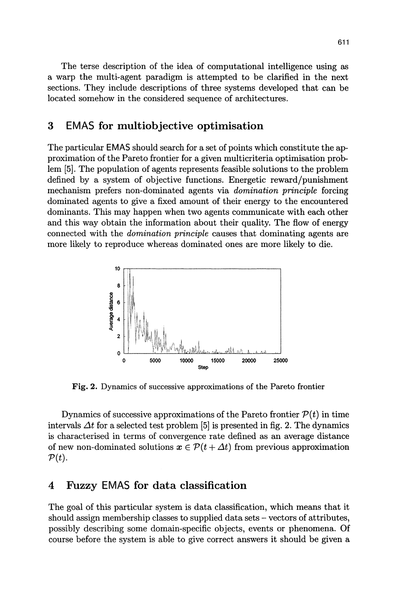The terse description of the idea of computational intelligence using as a warp the multi-agent paradigm is attempted to be clarified in the next sections. They include descriptions of three systems developed that can be located somehow in the considered sequence of architectures.

## 3 EMAS for multiobjective optimisation

The particular EMAS should search for a set of points which constitute the approximation of the Pareto frontier for a given multicriteria optimisation problem [5]. The population of agents represents feasible solutions to the problem defined by a system of objective functions. Energetic reward/punishment mechanism prefers non-dominated agents via *domination principle* forcing dominated agents to give a fixed amount of their energy to the encountered dominants. This may happen when two agents communicate with each other and this way obtain the information about their quality. The flow of energy connected with the *domination principle* causes that dominating agents are more likely to reproduce whereas dominated ones are more likely to die.



Fig. 2. Dynamics of successive approximations of the Pareto frontier

Dynamics of successive approximations of the Pareto frontier  $P(t)$  in time intervals  $\Delta t$  for a selected test problem [5] is presented in fig. 2. The dynamics is characterised in terms of convergence rate defined as an average distance of new non-dominated solutions  $x \in \mathcal{P}(t + \Delta t)$  from previous approximation  $P(t)$ .

## 4 Fuzzy EMAS for data classification

The goal of this particular system is data classification, which means that it should assign membership classes to supplied data sets – vectors of attributes, possibly describing some domain-specific objects, events or phenomena. Of course before the system is able to give correct answers it should be given a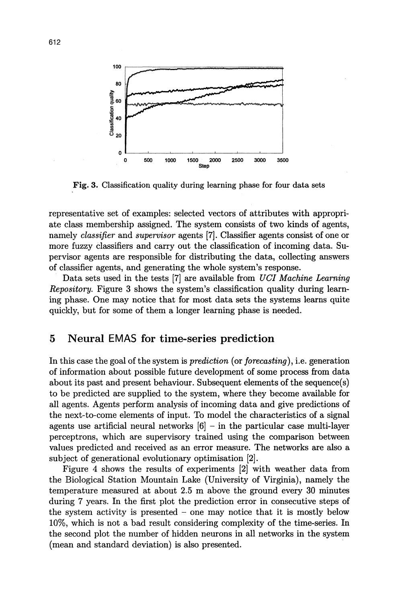

Fig. 3. Classification quality during learning phase for four data sets

representative set of examples: selected vectors of attributes with appropriate class membership assigned. The system consists of two kinds of agents, namely *classifier* and *supervisor* agents (7). Classifier agents consist of one or more fuzzy classifiers and carry out the classification of incoming data. Supervisor agents are responsible for distributing the data, collecting answers of classifier agents, and generating the whole system's response.

Data sets used in the tests (7) are available from *UCI Machine Learning Repository.* Figure 3 shows the system's classification quality during learning phase. One may notice that for most data sets the systems learns quite quickly, but for some of them a longer learning phase is needed.

## 5 Neural EMAS for time-series prediction

In this case the goal of the system is *prediction* (or *forecasting),* i.e. generation of information about possible future development of some process from data about its past and present behaviour. Subsequent elements of the sequence(s) to be predicted are supplied to the system, where they become available for all agents. Agents perform analysis of incoming data and give predictions of the next-to-come elements of input. To model the characteristics of a signal agents use artificial neural networks  $[6]$  – in the particular case multi-layer perceptrons, which are supervisory trained using the comparison between values predicted and received as an error measure. The networks are also a subject of generational evolutionary optimisation [2).

Figure 4 shows the results of experiments [2) with weather data from the Biological Station Mountain Lake (University of Virginia), namely the temperature measured at about 2.5 m above the ground every 30 minutes during 7 years. In the first plot the prediction error in consecutive steps of the system activity is presented  $-$  one may notice that it is mostly below 10%, which is not a bad result considering complexity of the time-series. In the second plot the number of hidden neurons in all networks in the system (mean and standard deviation) is also presented. .